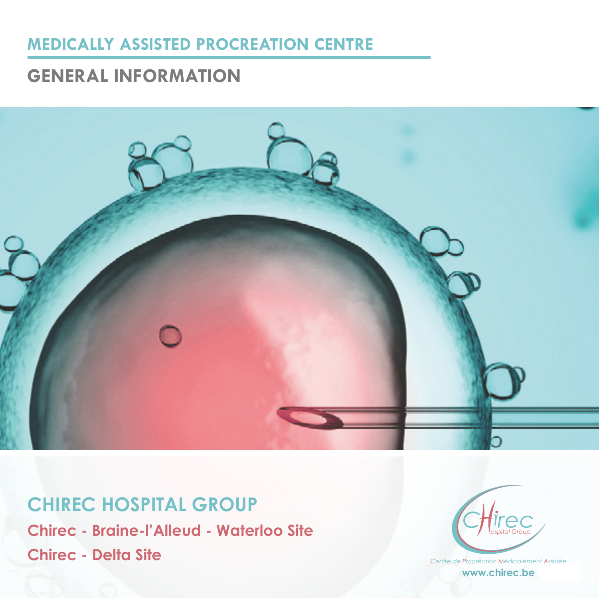### **MEDICALLY ASSISTED PROCREATION CENTRE**

### **GENERAL INFORMATION**



**CHIREC HOSPITAL GROUP Chirec - Braine-l'Alleud - Waterloo Site Chirec - Delta Site**



**1** *Centre de Procréation Médicalement Assistée* **www.chirec.be**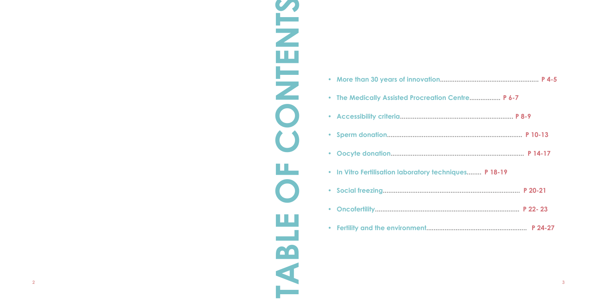| <b>Centre P 6-7</b> |
|---------------------|
|                     |
|                     |
|                     |
| ques P 18-19        |
|                     |
|                     |
|                     |

- **• More than 30 years of innovation...................................................... P 4-5**
- The Medically Assisted Procreation C
- **• Accessibility criteria.............................................................. P 8-9**
- **• Sperm donation.......................................................................... P 10-13**
- **• Oocyte donation......................................................................... P 14-17**
- **•** In Vitro Fertilisation laboratory technic
- **• Social freezing........................................................................... P 20-21**
- **• Oncofertility............................................................................... P 22- 23**
- Fertility and the environment...............

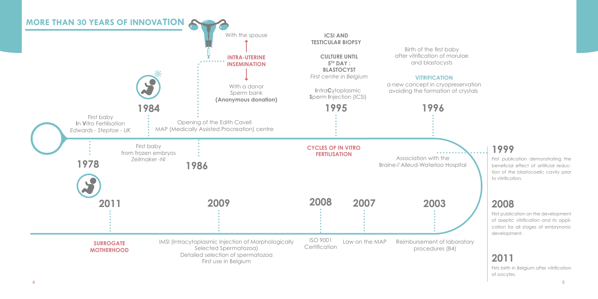## **1999**

# **2008**

# **2011**



First publication demonstrating the beneficial effect of artificial reduction of the blastocoelic cavity prior to vitrification.

First publication on the development of aseptic vitrification and its application for all stages of embrynonic development.

Firts birth in Belgium after vitrification of oocytes.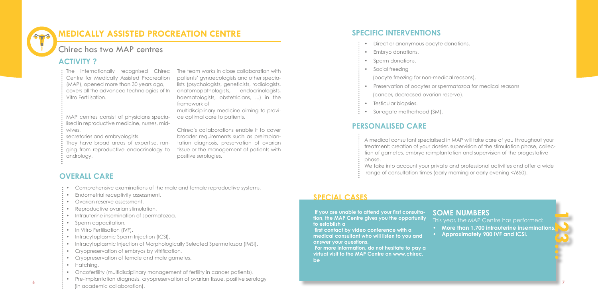### **SPECIAL CASES**

The internationally recognised Chirec The team works in close collaboration with Centre for Medically Assisted Procreation (MAP), opened more than 30 years ago, covers all the advanced technologies of In Vitro Fertilisation.

MAP centres consist of physicians specialised in reproductive medicine, nurses, mid-

wives,

secretaries and embryologists.

They have broad areas of expertise, ranging from reproductive endocrinology to andrology.

- Direct or anonymous oocyte donations.
- Embryo donations.
- Sperm donations.
- Social freezing
- (oocyte freezing for non-medical reasons).
- Preservation of oocytes or spermatozoa for medical reasons
- (cancer, decreased ovarian reserve).
- Testicular biopsies.
- Surrogate motherhood (SM).

patients' gynaecologists and other specialists (psychologists, geneticists, radiologists, anatomopathologists, endocrinologists, haematologists, obstetricians, ...) in the framework of

multidisciplinary medicine aiming to provide optimal care to patients.

> We take into account your private and professional activities and offer a wide range of consultation times (early morning or early evening </650).

Chirec's collaborations enable it to cover broader requirements such as preimplantation diagnosis, preservation of ovarian tissue or the management of patients with positive serologies.

## **MEDICALLY ASSISTED PROCREATION CENTRE**

This year, the MAP Centre has performed: **• More than 1,700 intrauterine inseminations. • Approximately 900 IVF and ICSI.**

A medical consultant specialised in MAP will take care of you throughout your treatment: creation of your dossier, supervision of the stimulation phase, collection of gametes, embryo reimplantation and supervision of the progestative phase.

### **ACTIVITY ?**

- Comprehensive examinations of the male and female reproductive systems.
- Endometrial receptivity assessment.
- Ovarian reserve assessment.
- Reproductive ovarian stimulation.
- Intrauterine insemination of spermatozoa.
- Sperm capacitation.
- In Vitro Fertilisation (IVF).
- Intracytoplasmic Sperm Injection (ICSI).
- Intracytoplasmic Injection of Morphologically Selected Spermatozoa (IMSI).
- Cryopreservation of embryos by vitrification.
- Cryopreservation of female and male gametes.
- Hatching.
- Oncofertility (multidisciplinary management of fertility in cancer patients).
- **6 7** • Pre-implantation diagnosis, cryopreservation of ovarian tissue, positive serology (in academic collaboration).

### **OVERALL CARE**

# **SOME NUMBERS**

- 
- 

### **PERSONALISED CARE**

### **SPECIFIC INTERVENTIONS**

 **If you are unable to attend your first consultation, the MAP Centre gives you the opportunity to establish a** 

 **first contact by video conference with a medical consultant who will listen to you and answer your questions.**

 **For more information, do not hesitate to pay a virtual visit to the MAP Centre on www.chirec. be**

### Chirec has two MAP centres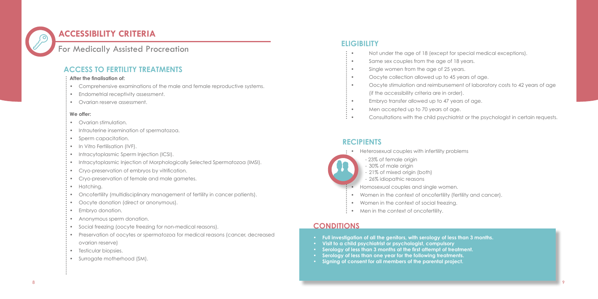- 
- 
- 



### **ACCESSIBILITY CRITERIA**

### For Medically Assisted Procreation

#### **After the finalisation of:**

- Ovarian stimulation.
- Intrauterine insemination of spermatozoa.
- Sperm capacitation.
- In Vitro Fertilisation (IVF).
- Intracytoplasmic Sperm Injection (ICSI).
- Intracytoplasmic Injection of Morphologically Selected Spermatozoa (IMSI).
- Cryo-preservation of embryos by vitrification.
- Cryo-preservation of female and male gametes.
- Hatching.
- Oncofertility (multidisciplinary management of fertility in cancer patients).
- Oocyte donation (direct or anonymous).
- Embryo donation.
- Anonymous sperm donation.
- Social freezing (oocyte freezing for non-medical reasons).
- Preservation of oocytes or spermatozoa for medical reasons (cancer, decreased
- ovarian reserve)
- Testicular biopsies.
- Surrogate motherhood (SM).
- Comprehensive examinations of the male and female reproductive systems.
- Endometrial receptivity assessment.
- Ovarian reserve assessment.

#### **We offer:**

- Heterosexual couples with infertility problems
	- 23% of female origin
	- 30% of male origin
	- 21% of mixed origin (both)
	- 26% idiopathic reasons
	- Homosexual couples and single women.
- Women in the context of oncofertility (fertility and cancer).
- Women in the context of social freezing.
- Men in the context of oncofertility.

### **CONDITIONS**

- Not under the age of 18 (except for special medical exceptions).
- Same sex couples from the age of 18 years.
- Single women from the age of 25 years.
- Oocyte collection allowed up to 45 years of age.
- Oocyte stimulation and reimbursement of laboratory costs to 42 years of age
	- (if the accessibility criteria are in order).
- Embryo transfer allowed up to 47 years of age.
- Men accepted up to 70 years of age.
- Consultations with the child psychiatrist or the psychologist in certain requests.

### **ACCESS TO FERTILITY TREATMENTS**

### **ELIGIBILITY**

### **RECIPIENTS**

- **• Full investigation of all the genitors, with serology of less than 3 months.**
- **• Visit to a child psychiatrist or psychologist, compulsory**
- **• Serology of less than 3 months at the first attempt of treatment.**
- **• Serology of less than one year for the following treatments.**
- **• Signing of consent for all members of the parental project.**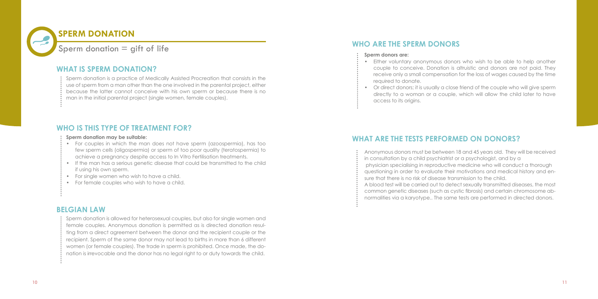Sperm donation is a practice of Medically Assisted Procreation that consists in the use of sperm from a man other than the one involved in the parental project, either because the latter cannot conceive with his own sperm or because there is no man in the initial parental project (single women, female couples).

#### **Sperm donation may be suitable:**

- For couples in which the man does not have sperm (azoospermia), has too few sperm cells (oligospermia) or sperm of too poor quality (teratospermia) to achieve a pregnancy despite access to In Vitro Fertilisation treatments.
- If the man has a serious genetic disease that could be transmitted to the child if using his own sperm.
- For single women who wish to have a child.
- For female couples who wish to have a child.

### **WHAT IS SPERM DONATION?**

### **WHO IS THIS TYPE OF TREATMENT FOR?**

### **BELGIAN LAW**



Sperm donation is allowed for heterosexual couples, but also for single women and female couples. Anonymous donation is permitted as is directed donation resulting from a direct agreement between the donor and the recipient couple or the recipient. Sperm of the same donor may not lead to births in more than 6 different women (or female couples). The trade in sperm is prohibited. Once made, the donation is irrevocable and the donor has no legal right to or duty towards the child.

• Either voluntary anonymous donors who wish to be able to help another couple to conceive. Donation is altruistic and donors are not paid. They receive only a small compensation for the loss of wages caused by the time

• Or direct donors; it is usually a close friend of the couple who will give sperm directly to a woman or a couple, which will allow the child later to have

- required to donate.
- access to its origins.

Anonymous donors must be between 18 and 45 years old. They will be received in consultation by a child psychiatrist or a psychologist, and by a physician specialising in reproductive medicine who will conduct a thorough questioning in order to evaluate their motivations and medical history and ensure that there is no risk of disease transmission to the child. A blood test will be carried out to detect sexually transmitted diseases, the most common genetic diseases (such as cystic fibrosis) and certain chromosome abnormalities via a karyotype.. The same tests are performed in directed donors.

### **WHO ARE THE SPERM DONORS**

### **WHAT ARE THE TESTS PERFORMED ON DONORS?**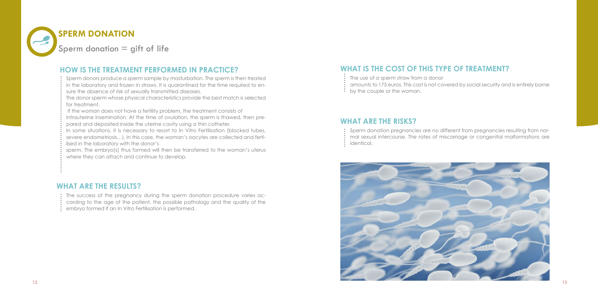

Sperm donors produce a sperm sample by masturbation. The sperm is then treated in the laboratory and frozen in straws. It is quarantined for the time required to ensure the absence of risk of sexually transmitted diseases.

The donor sperm whose physical characteristics provide the best match is selected for treatment.

If the woman does not have a fertility problem, the treatment consists of

In some situations, it is necessary to resort to In Vitro Fertilisation (blocked tubes, severe endometriosis…). In this case, the woman's oocytes are collected and fertilised in the laboratory with the donor's

sperm. The embryo(s) thus formed will then be transferred to the woman's uterus where they can attach and continue to develop.

- The use of a sperm straw from a donor
- amounts to 175 euros. This cost is not covered by social security and is entirely borne
- by the couple or the woman.

intrauterine insemination. At the time of ovulation, the sperm is thawed, then prepared and deposited inside the uterine cavity using a thin catheter.

- The success of the pregnancy during the sperm donation procedure varies ac-
- cording to the age of the patient, the possible pathology and the quality of the
- embryo formed if an In Vitro Fertilisation is performed.
- Sperm donation pregnancies are no different from pregnancies resulting from nor-
- 
- identical.

mal sexual intercourse. The rates of miscarriage or congenital malformations are

### **HOW IS THE TREATMENT PERFORMED IN PRACTICE? WHAT IS THE COST OF THIS TYPE OF TREATMENT?**



### **WHAT ARE THE RISKS?**

### **WHAT ARE THE RESULTS?**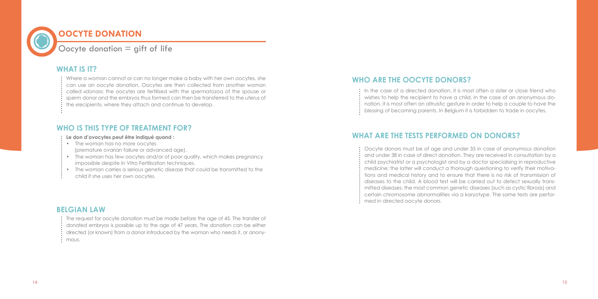

Where a woman cannot or can no longer make a baby with her own oocytes, she can use an oocyte donation. Oocytes are then collected from another woman called «donor»; the oocytes are fertilised with the spermatozoa of the spouse or sperm donor and the embryos thus formed can then be transferred to the uterus of the «recipient», where they attach and continue to develop.

- The woman has no more oocytes
- (premature ovarian failure or advanced age).
- The woman has few oocytes and/or of poor quality, which makes pregnancy impossible despite In Vitro Fertilisation techniques.
- The woman carries a serious genetic disease that could be transmitted to the
- child if she uses her own oocytes.

#### **Le don d'ovocytes peut être indiqué quand :**

The request for oocyte donation must be made before the age of 45. The transfer of donated embryos is possible up to the age of 47 years. The donation can be either directed (or known) from a donor introduced by the woman who needs it, or anonymous.

In the case of a directed donation, it is most often a sister or close friend who wishes to help the recipient to have a child. In the case of an anonymous donation, it is most often an altruistic gesture in order to help a couple to have the blessing of becoming parents. In Belgium it is forbidden to trade in oocytes.

### **WHAT IS IT?**

### **WHO IS THIS TYPE OF TREATMENT FOR?**

### **BELGIAN LAW**

Oocyte donors must be of age and under 35 in case of anonymous donation and under 38 in case of direct donation. They are received in consultation by a child psychiatrist or a psychologist and by a doctor specialising in reproductive medicine; the latter will conduct a thorough questioning to verify their motivations and medical history and to ensure that there is no risk of transmission of diseases to the child. A blood test will be carried out to detect sexually transmitted diseases, the most common genetic diseases (such as cystic fibrosis) and certain chromosome abnormalities via a karyotype. The same tests are performed in directed oocyte donors.

### **WHO ARE THE OOCYTE DONORS?**

- 
- 
- 
- 

### **WHAT ARE THE TESTS PERFORMED ON DONORS?**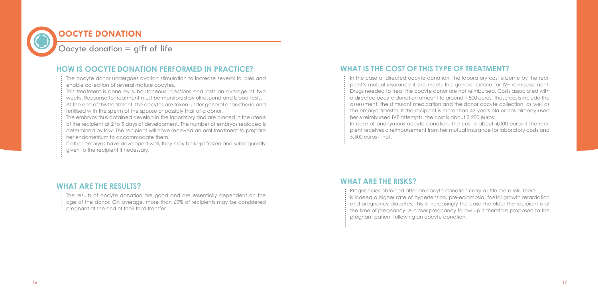## **OOCYTE DONATION**

Oocyte donation  $=$  gift of life

The oocyte donor undergoes ovarian stimulation to increase several follicles and enable collection of several mature oocytes.

This treatment is done by subcutaneous injections and lasts an average of two weeks. Response to treatment must be monitored by ultrasound and blood tests. At the end of this treatment, the oocytes are taken under general anaesthesia and fertilised with the sperm of the spouse or possibly that of a donor.

The embryos thus obtained develop in the laboratory and are placed in the uterus of the recipient at 2 to 5 days of development. The number of embryos replaced is determined by law. The recipient will have received an oral treatment to prepare her endometrium to accommodate them.

If other embryos have developed well, they may be kept frozen and subsequently given to the recipient if necessary.

The results of oocyte donation are good and are essentially dependent on the age of the donor. On average, more than 60% of recipients may be considered pregnant at the end of their third transfer.

In the case of directed oocyte donation, the laboratory cost is borne by the recipient's mutual insurance if she meets the general criteria for IVF reimbursement. Drugs needed to treat the oocyte donor are not reimbursed. Costs associated with a directed oocyte donation amount to around 1,800 euros. These costs include the assessment, the stimulant medication and the donor oocyte collection, as well as the embryo transfer. If the recipient is more than 43 years old or has already used her 6 reimbursed IVF attempts, the cost is about 3,200 euros. In case of anonymous oocyte donation, the cost is about 4,000 euros if the recipient receives a reimbursement from her mutual insurance for laboratory costs and 5,500 euros if not.

Pregnancies obtained after an oocyte donation carry a little more risk. There is indeed a higher rate of hypertension, pre-eclampsia, foetal growth retardation and pregnancy diabetes. This is increasingly the case the older the recipient is at the time of pregnancy. A closer pregnancy follow-up is therefore proposed to the pregnant patient following an oocyte donation.

### **HOW IS OOCYTE DONATION PERFORMED IN PRACTICE? WHAT IS THE COST OF THIS TYPE OF TREATMENT?**

## **WHAT ARE THE RISKS? WHAT ARE THE RESULTS?**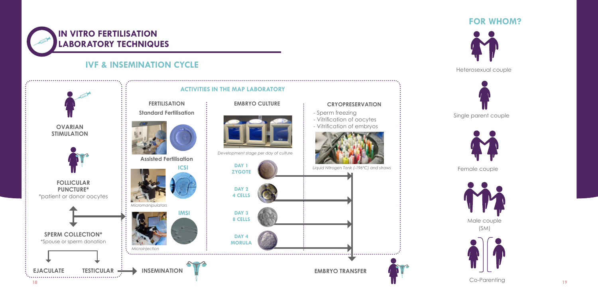## **IN VITRO FERTILISATION LABORATORY TECHNIQUES**



### **IVF & INSEMINATION CYCLE**

**FOR WHOM?**



Heterosexual couple



Single parent couple



Female couple



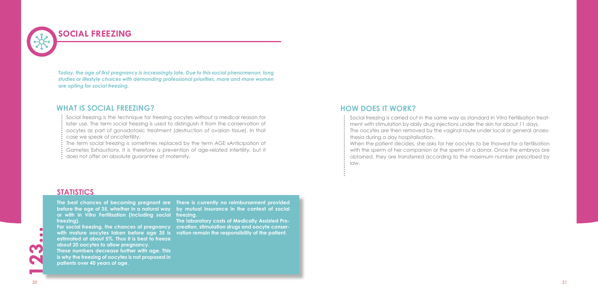### **SOCIAL FREEZING**

Social freezing is the technique for freezing oocytes without a medical reason for later use. The term social freezing is used to distinguish it from the conservation of oocytes as part of gonadotoxic treatment (destruction of ovarian tissue). In that case we speak of oncofertility.

The term social freezing is sometimes replaced by the term AGE «Anticipation of Gametes Exhaustion». It is therefore a prevention of age-related infertility, but it does not offer an absolute guarantee of maternity.

### **WHAT IS SOCIAL FREEZING?**

Social freezing is carried out in the same way as standard In Vitro Fertilisation treatment with stimulation by daily drug injections under the skin for about 11 days. The oocytes are then removed by the vaginal route under local or general anaesthesia during a day hospitalisation.. When the patient decides, she asks for her oocytes to be thawed for a fertilisation with the sperm of her companion or the sperm of a donor. Once the embryos are obtained, they are transferred according to the maximum number prescribed by law.

For social freezing, the chances of pregnancy  $\;$  creation, stimulation drugs and oocyte conserwith mature oocytes taken before age 35 is vation remain the responsibility of the patient. **estimated at about 5%. Thus it is best to freeze about 20 oocytes to allow pregnancy. These numbers decrease further with age. This is why the freezing of oocytes is not proposed in patients over 40 years of age.**

The best chances of becoming pregnant are There is currently no reimbursement provided before the age of 35, whether in a natural way by mutual insurance in the context of social

### **HOW DOES IT WORK?**

*Today, the age of first pregnancy is increasingly late. Due to this social phenomenon, long studies or lifestyle choices with demanding professional priorities, more and more women are opting for social freezing.*

### **STATISTICS**

**The laboratory costs of Medically Assisted Pro-**

**freezing. or with in Vitro Fertilisation (including social freezing).**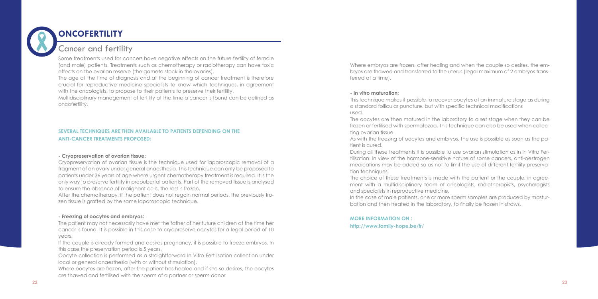

## **ONCOFERTILITY**

#### **- Cryopreservation of ovarian tissue:**

Cryopreservation of ovarian tissue is the technique used for laparoscopic removal of a fragment of an ovary under general anaesthesia. This technique can only be proposed to patients under 36 years of age where urgent chemotherapy treatment is required. It is the only way to preserve fertility in prepubertal patients. Part of the removed tissue is analysed to ensure the absence of malignant cells, the rest is frozen.

After the chemotherapy, if the patient does not regain normal periods, the previously frozen tissue is grafted by the same laparoscopic technique.

#### **- Freezing of oocytes and embryos:**

The patient may not necessarily have met the father of her future children at the time her cancer is found. It is possible in this case to cryopreserve oocytes for a legal period of 10 years.

If the couple is already formed and desires pregnancy, it is possible to freeze embryos. In this case the preservation period is 5 years.

Oocyte collection is performed as a straightforward In Vitro Fertilisation collection under local or general anaesthesia (with or without stimulation).

Where oocytes are frozen, after the patient has healed and if she so desires, the oocytes are thawed and fertilised with the sperm of a partner or sperm donor.

During all these treatments it is possible to use ovarian stimulation as in In Vitro Fertilisation. In view of the hormone-sensitive nature of some cancers, anti-oestrogen medications may be added so as not to limit the use of different fertility preservation techniques.

#### **SEVERAL TECHNIQUES ARE THEN AVAILABLE TO PATIENTS DEPENDING ON THE ANTI-CANCER TREATMENTS PROPOSED:**

Some treatments used for cancers have negative effects on the future fertility of female (and male) patients. Treatments such as chemotherapy or radiotherapy can have toxic effects on the ovarian reserve (the gamete stock in the ovaries).

The age at the time of diagnosis and at the beginning of cancer treatment is therefore crucial for reproductive medicine specialists to know which techniques, in agreement with the oncologists, to propose to their patients to preserve their fertility.

Multidisciplinary management of fertility at the time a cancer is found can be defined as oncofertility.

Where embryos are frozen, after healing and when the couple so desires, the embryos are thawed and transferred to the uterus (legal maximum of 2 embryos transferred at a time).

#### **- In vitro maturation:**

This technique makes it possible to recover oocytes at an immature stage as during a standard follicular puncture, but with specific technical modifications used.

The oocytes are then matured in the laboratory to a set stage when they can be frozen or fertilised with spermatozoa. This technique can also be used when collecting ovarian tissue.

As with the freezing of oocytes and embryos, the use is possible as soon as the patient is cured.

The choice of these treatments is made with the patient or the couple, in agreement with a multidisciplinary team of oncologists, radiotherapists, psychologists and specialists in reproductive medicine. In the case of male patients, one or more sperm samples are produced by masturbation and then treated in the laboratory, to finally be frozen in straws.

### Cancer and fertility

#### **MORE INFORMATION ON : http://www.family-hope.be/fr/**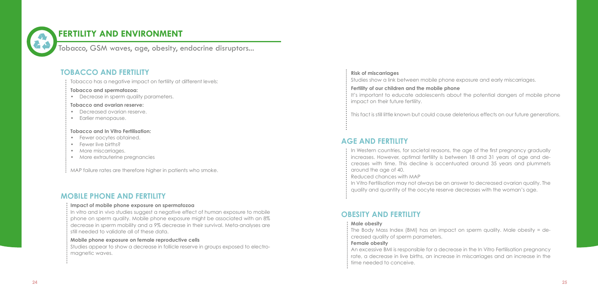

### **FERTILITY AND ENVIRONMENT**

Tobacco, GSM waves, age, obesity, endocrine disruptors...

Tobacco has a negative impact on fertility at different levels:

- Decreased ovarian reserve.
- Earlier menopause.

#### **Tobacco and spermatozoa:**

• Decrease in sperm quality parameters.

#### **Tobacco and ovarian reserve:**

#### **Tobacco and In Vitro Fertilisation:**

- Fewer oocytes obtained.
- Fewer live births?
- More miscarriages.
- More extrauterine pregnancies

MAP failure rates are therefore higher in patients who smoke.

- In Western countries, for societal reasons, the age of the first pregnancy gradually increases. However, optimal fertility is between 18 and 31 years of age and de-
- around the age of 40.
- Reduced chances with MAP
- In Vitro Fertilisation may not always be an answer to decreased ovarian quality. The
- quality and quantity of the oocyte reserve decreases with the woman's age.

 $\colon$  The Body Mass Index (BMI) has an impact on sperm quality. Male obesity = decreased quality of sperm parameters.

creases with time. This decline is accentuated around 35 years and plummets

#### **Male obesity**

#### **Female obesity**

An excessive BMI is responsible for a decrease in the In Vitro Fertilisation pregnancy rate, a decrease in live births, an increase in miscarriages and an increase in the

- 
- time needed to conceive.

#### **Impact of mobile phone exposure on spermatozoa**

In vitro and in vivo studies suggest a negative effect of human exposure to mobile phone on sperm quality. Mobile phone exposure might be associated with an 8% decrease in sperm mobility and a 9% decrease in their survival. Meta-analyses are still needed to validate all of these data.

#### **Mobile phone exposure on female reproductive cells**

Studies appear to show a decrease in follicle reserve in groups exposed to electromagnetic waves.

**Risk of miscarriages**

Studies show a link between mobile phone exposure and early miscarriages.

**Fertility of our children and the mobile phone**  It's important to educate adolescents about the potential dangers of mobile phone impact on their future fertility.

This fact is still little known but could cause deleterious effects on our future generations.

### **TOBACCO AND FERTILITY**

### **AGE AND FERTILITY**

### **OBESITY AND FERTILITY**

### **MOBILE PHONE AND FERTILITY**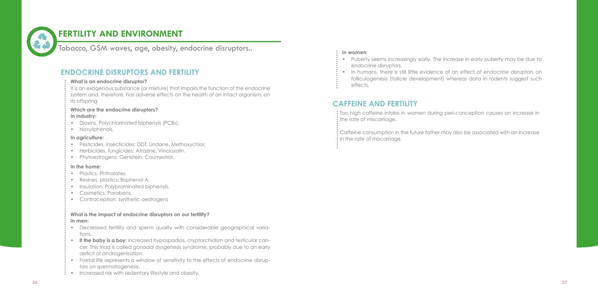Tobacco, GSM waves, age, obesity, endocrine disruptors..

#### **What is an endocrine disruptor?**

It is an exogenous substance (or mixture) that impairs the function of the endocrine system and, therefore, has adverse effects on the health of an intact organism, on its offspring.

- Plastics: Phthalates.
- Resines, plastics: Bisphenol A.
- Insulation: Polybrominated biphenyls.
- Cosmetics: Parabens.
- Contraception: synthetic oestrogens

### **Which are the endocrine disruptors?**

#### **In industry:**

- Dioxins, Polychlorinated biphenyls (PCBs).
- Nonylphenols.

Too high caffeine intake in women during peri-conception causes an increase in : the rate of miscarriage.

 $\mathrel{\mathop:}$  Caffeine consumption in the future father may also be associated with an increase  $:$  in the rate of miscarriage.

#### **In agriculture:**

- Pesticides, insecticides: DDT, Lindane, Methoxychlor.
- Herbicides, fungicides: Atrazine, Vinclozolin.
- Phytoestrogens: Genistein, Coumestrol.

- Decreased fertility and sperm quality with considerable geographical variations.
- **• If the baby is a boy:** increased hypospadias, cryptorchidism and testicular cancer. This triad is called gonadal dysgenesis syndrome, probably due to an early deficit of androgenisation.
- Foetal life represents a window of sensitivity to the effects of endocrine disruptors on spermatogenesis.
- $\colon \cdot$  Increased risk with sedentary lifestyle and obesity.

#### **In the home:**

#### **What is the impact of endocrine disruptors on our fertility?**

#### **In men:**

#### **In women:**

- Puberty seems increasingly early. The increase in early puberty may be due to endocrine disruptors.
- In humans, there is still little evidence of an effect of endocrine disruptors on folliculogenesis (follicle development) whereas data in rodents suggest such
- effects.

### **ENDOCRINE DISRUPTORS AND FERTILITY**

### **CAFFEINE AND FERTILITY**



## **FERTILITY AND ENVIRONMENT**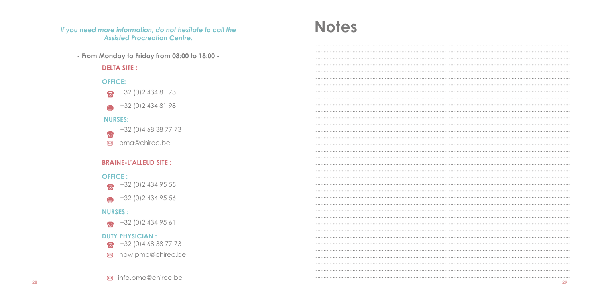If you need more information, do not hesitate to call the **Assisted Procreation Centre.** 

- From Monday to Friday from 08:00 to 18:00 -

#### **DELTA SITE:**

### **OFFICE:**



+32 (0) 2 434 81 98  $\blacksquare$ 

### **NURSES:**

+32 (0) 4 68 38 77 73 ନ୍ତ $\overline{\mathbf{a}}$ ⊠ pma@chirec.be

### **BRAINE-L'ALLEUD SITE :**

#### **OFFICE:**

+32 (0) 2 434 95 55  $\mathbf{z}$ 

 $+32(0)24349556$ 

### **NURSES:**

 $\sqrt{3}$  +32 (0) 2 434 95 61

#### **DUTY PHYSICIAN:**

- $\sqrt{3}$  +32 (0) 4 68 38 77 73
- ⊠ hbw.pma@chirec.be

# **Notes**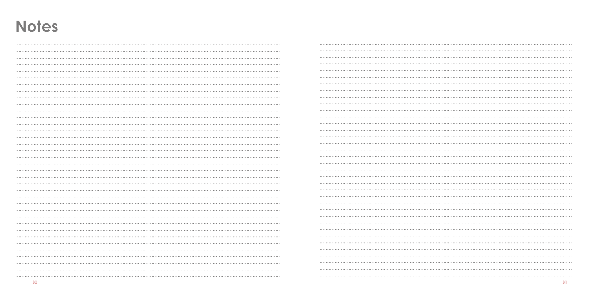# **Notes**